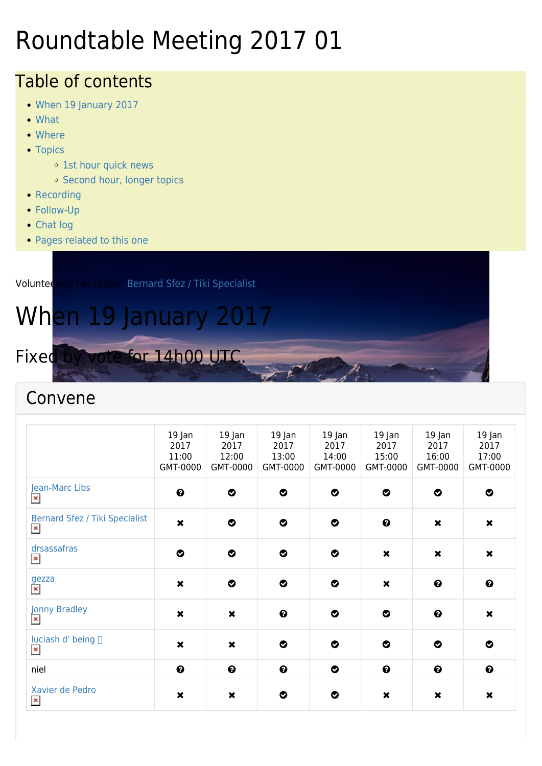# Roundtable Meeting 2017 01

#### Table of contents

- [When 19 January 2017](#page--1-0)
- [What](#page--1-0)
- [Where](#page--1-0)
- [Topics](#page--1-0)
	- o [1st hour quick news](#page--1-0)
	- o [Second hour, longer topics](#page--1-0)
- [Recording](#page--1-0)
- [Follow-Up](#page--1-0)
- [Chat log](#page--1-0)
- [Pages related to this one](#page--1-0)

Volunteering Facilitator: [Bernard Sfez / Tiki Specialist](https://tiki.org/user1974) When 19 January 2017 Fixed by vote for 14h00 UTC.

#### Convene

|                                                  | $19$ Jan<br>2017<br>11:00<br>GMT-0000 | 19 Jan<br>2017<br>12:00<br>GMT-0000 | $19$ Jan<br>2017<br>13:00<br>GMT-0000 | 19 Jan<br>2017<br>14:00<br>GMT-0000 | $19$ Jan<br>2017<br>15:00<br>GMT-0000 | $19$ Jan<br>2017<br>16:00<br>GMT-0000 | 19 Jan<br>2017<br>17:00<br>GMT-0000 |
|--------------------------------------------------|---------------------------------------|-------------------------------------|---------------------------------------|-------------------------------------|---------------------------------------|---------------------------------------|-------------------------------------|
| Jean-Marc Libs<br>$\pmb{\times}$                 | $\boldsymbol{\Theta}$                 | $\bullet$                           | $\bullet$                             | $\bullet$                           | $\bullet$                             | $\bullet$                             | $\bullet$                           |
| Bernard Sfez / Tiki Specialist<br>$\pmb{\times}$ | $\boldsymbol{\mathsf{x}}$             | $\bullet$                           | $\bullet$                             | $\bullet$                           | $\boldsymbol{\Theta}$                 | $\pmb{\times}$                        | $\pmb{\times}$                      |
| drsassafras<br>$\pmb{\times}$                    | $\bullet$                             | $\bullet$                           | $\bullet$                             | $\bullet$                           | $\boldsymbol{\mathsf{x}}$             | $\boldsymbol{\mathsf{x}}$             | $\pmb{\times}$                      |
| gezza<br>$\pmb{\times}$                          | $\pmb{\times}$                        | $\bullet$                           | $\bullet$                             | $\bullet$                           | $\boldsymbol{\mathsf{x}}$             | $\boldsymbol{\Theta}$                 | $\boldsymbol{\Theta}$               |
| Jonny Bradley<br>$\pmb{\times}$                  | $\boldsymbol{\mathsf{x}}$             | $\boldsymbol{\mathsf{x}}$           | $\boldsymbol{\Theta}$                 | $\bullet$                           | $\bullet$                             | $\boldsymbol{\Theta}$                 | $\boldsymbol{\mathsf{x}}$           |
| luciash d' being □<br>$\pmb{\times}$             | $\pmb{\times}$                        | $\boldsymbol{\mathsf{x}}$           | $\bullet$                             | $\bullet$                           | $\bullet$                             | $\bullet$                             | ◎                                   |
| niel                                             | $\boldsymbol{\Theta}$                 | $\boldsymbol{\Theta}$               | $\boldsymbol{\Theta}$                 | $\bullet$                           | $\boldsymbol{\Theta}$                 | $\boldsymbol{\Theta}$                 | $\boldsymbol{\Theta}$               |
| Xavier de Pedro<br>$\pmb{\times}$                | $\pmb{\times}$                        | $\boldsymbol{\mathsf{x}}$           | ◎                                     | ◎                                   | $\pmb{\times}$                        | $\pmb{\times}$                        | $\pmb{\times}$                      |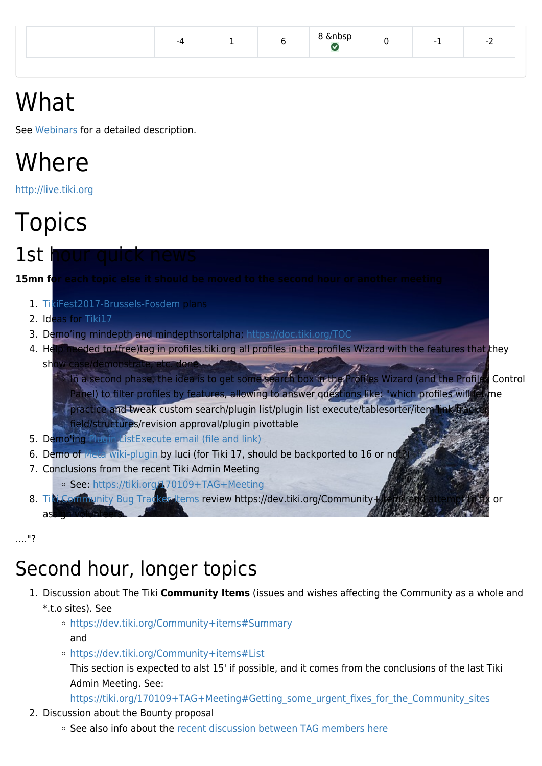| nbspث<br>$\overline{\phantom{0}}$<br>-4<br>-<br>. . |
|-----------------------------------------------------|
|-----------------------------------------------------|

# What

See [Webinars](https://tiki.org/Roundtable-Meetings) for a detailed description.

## Where

<http://live.tiki.org>

# **Topics**

 $1$ st

**15mn for each topic else it should be moved to the second hour or another meeting**

- 1. [TikiFest2017-Brussels-Fosdem](https://tiki.org/TikiFest2017-Brussels-Fosdem) plans
- 2. Ideas for [Tiki17](http://dev.tiki.org/Tiki17)
- 3. Demo'ing mindepth and mindepthsortalpha; <https://doc.tiki.org/TOC>
- 4. Help needed to (free)tag in profiles.tiki.org all profiles in the profiles Wizard with the features that they
- show case/demonstrate, etc. done **In a second phase, the idea is to get some search box in the Profiles Wizard (and the Profiles Control** Panel) to filter profiles by features, allowing to answer questions like: "which profiles will let me practice and tweak custom search/plugin list/plugin list execute/tablesorter/item field/structures/revision approval/plugin pivottable
- 5. Demo'ing [Plugin ListExecute email \(file and link\)](https://doc.tiki.org/PluginListExecute#email)
- 6. Demo of [Meta wiki-plugin](https://doc.tiki.org/PluginMeta) by luci (for Tiki 17, should be backported to 16 or not?
- 7. Conclusions from the recent Tiki Admin Meeting
	- See:<https://tiki.org/170109+TAG+Meeting>
- 8. [Tiki Community Bug Tracker Items](https://dev.tiki.org/Community%20items) review https://dev.tiki.org/Communityassign volunteers.

...."?

#### Second hour, longer topics

- 1. Discussion about The Tiki **Community Items** (issues and wishes affecting the Community as a whole and \*.t.o sites). See
	- <https://dev.tiki.org/Community+items#Summary> and
	- <https://dev.tiki.org/Community+items#List> This section is expected to alst 15' if possible, and it comes from the conclusions of the last Tiki Admin Meeting. See:

https://tiki.org/170109+TAG+Meeting#Getting some urgent fixes for the Community sites

- 2. Discussion about the Bounty proposal
	- $\circ$  See also info about the [recent discussion between TAG members here](https://tiki.org/170109+TAG+Meeting#Getting_some_urgent_fixes_for_the_Community_sites)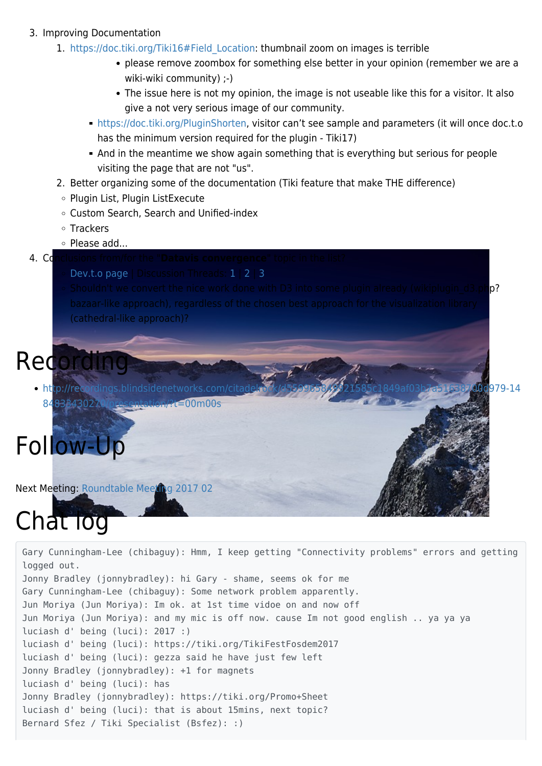#### 3. Improving Documentation

- 1. [https://doc.tiki.org/Tiki16#Field\\_Location](https://doc.tiki.org/Tiki16#Field_Location): thumbnail zoom on images is terrible
	- please remove zoombox for something else better in your opinion (remember we are a wiki-wiki community) ;-)
	- The issue here is not my opinion, the image is not useable like this for a visitor. It also give a not very serious image of our community.
	- [https://doc.tiki.org/PluginShorten,](https://doc.tiki.org/PluginShorten) visitor can't see sample and parameters (it will once doc.t.o has the minimum version required for the plugin - Tiki17)
	- And in the meantime we show again something that is everything but serious for people visiting the page that are not "us".
- 2. Better organizing some of the documentation (Tiki feature that make THE difference)
- Plugin List, Plugin ListExecute
- Custom Search, Search and Unified-index
- Trackers
- o Please add...
- **4. Conclusions from/for the "Datavis convergence"** topic in the list?
	- [Dev.t.o page](https://dev.tiki.org/Datavis+Convergence) | Discussion Threads: [1](https://tiki.org/forumthread62514?topics_offset=7) | [2](https://tiki.org/forumthread62543?topics_offset=4) | [3](https://tiki.org/forumthread62546?topics_offset=2)
	- Shouldn't we convert the nice work done with D3 into some plugin already (wikiplugin  $d3.$ php? (cathedral-like approach)?

#### **Recording**

[http://recordings.blindsidenetworks.com/citadelrock/d559965849921585c1849af03b7a51638700d979-14](http://recordings.blindsidenetworks.com/citadelrock/d559965849921585c1849af03b7a51638700d979-1484833430270/presentation/?t=00m00s) [84833430270/presentation/?t=00m00s](http://recordings.blindsidenetworks.com/citadelrock/d559965849921585c1849af03b7a51638700d979-1484833430270/presentation/?t=00m00s)

# Follow-Up

Next Meeting: [Roundtable Meeting 2017 02](https://tiki.org/Roundtable-Meeting-2017-02)

# Chat log

Gary Cunningham-Lee (chibaguy): Hmm, I keep getting "Connectivity problems" errors and getting logged out. Jonny Bradley (jonnybradley): hi Gary - shame, seems ok for me Gary Cunningham-Lee (chibaguy): Some network problem apparently. Jun Moriya (Jun Moriya): Im ok. at 1st time vidoe on and now off Jun Moriya (Jun Moriya): and my mic is off now. cause Im not good english .. ya ya ya luciash d' being (luci): 2017 :) luciash d' being (luci): https://tiki.org/TikiFestFosdem2017 luciash d' being (luci): gezza said he have just few left Jonny Bradley (jonnybradley): +1 for magnets luciash d' being (luci): has Jonny Bradley (jonnybradley): https://tiki.org/Promo+Sheet luciash d' being (luci): that is about 15mins, next topic? Bernard Sfez / Tiki Specialist (Bsfez): :)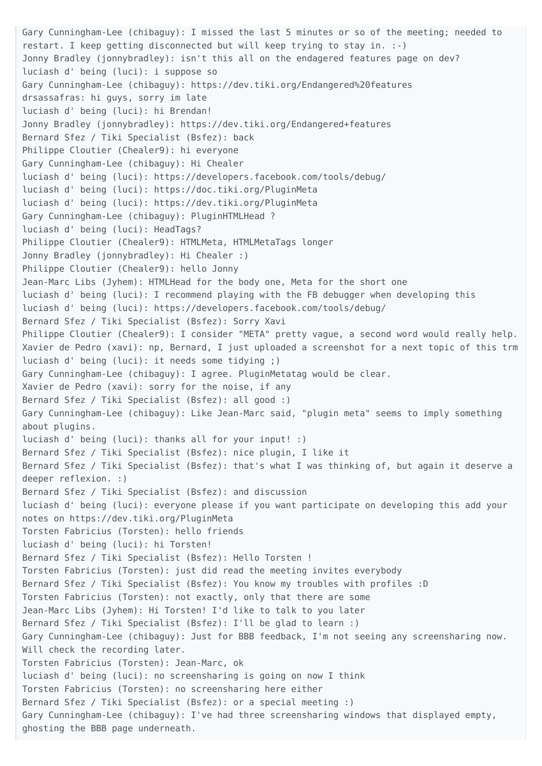Gary Cunningham-Lee (chibaguy): I missed the last 5 minutes or so of the meeting; needed to restart. I keep getting disconnected but will keep trying to stay in. :-) Jonny Bradley (jonnybradley): isn't this all on the endagered features page on dev? luciash d' being (luci): i suppose so Gary Cunningham-Lee (chibaguy): https://dev.tiki.org/Endangered%20features drsassafras: hi guys, sorry im late luciash d' being (luci): hi Brendan! Jonny Bradley (jonnybradley): https://dev.tiki.org/Endangered+features Bernard Sfez / Tiki Specialist (Bsfez): back Philippe Cloutier (Chealer9): hi everyone Gary Cunningham-Lee (chibaguy): Hi Chealer luciash d' being (luci): https://developers.facebook.com/tools/debug/ luciash d' being (luci): https://doc.tiki.org/PluginMeta luciash d' being (luci): https://dev.tiki.org/PluginMeta Gary Cunningham-Lee (chibaguy): PluginHTMLHead ? luciash d' being (luci): HeadTags? Philippe Cloutier (Chealer9): HTMLMeta, HTMLMetaTags longer Jonny Bradley (jonnybradley): Hi Chealer :) Philippe Cloutier (Chealer9): hello Jonny Jean-Marc Libs (Jyhem): HTMLHead for the body one, Meta for the short one luciash d' being (luci): I recommend playing with the FB debugger when developing this luciash d' being (luci): https://developers.facebook.com/tools/debug/ Bernard Sfez / Tiki Specialist (Bsfez): Sorry Xavi Philippe Cloutier (Chealer9): I consider "META" pretty vague, a second word would really help. Xavier de Pedro (xavi): np, Bernard, I just uploaded a screenshot for a next topic of this trm luciash d' being (luci): it needs some tidying ;) Gary Cunningham-Lee (chibaguy): I agree. PluginMetatag would be clear. Xavier de Pedro (xavi): sorry for the noise, if any Bernard Sfez / Tiki Specialist (Bsfez): all good :) Gary Cunningham-Lee (chibaguy): Like Jean-Marc said, "plugin meta" seems to imply something about plugins. luciash d' being (luci): thanks all for your input! :) Bernard Sfez / Tiki Specialist (Bsfez): nice plugin, I like it Bernard Sfez / Tiki Specialist (Bsfez): that's what I was thinking of, but again it deserve a deeper reflexion. :) Bernard Sfez / Tiki Specialist (Bsfez): and discussion luciash d' being (luci): everyone please if you want participate on developing this add your notes on https://dev.tiki.org/PluginMeta Torsten Fabricius (Torsten): hello friends luciash d' being (luci): hi Torsten! Bernard Sfez / Tiki Specialist (Bsfez): Hello Torsten ! Torsten Fabricius (Torsten): just did read the meeting invites everybody Bernard Sfez / Tiki Specialist (Bsfez): You know my troubles with profiles :D Torsten Fabricius (Torsten): not exactly, only that there are some Jean-Marc Libs (Jyhem): Hi Torsten! I'd like to talk to you later Bernard Sfez / Tiki Specialist (Bsfez): I'll be glad to learn :) Gary Cunningham-Lee (chibaguy): Just for BBB feedback, I'm not seeing any screensharing now. Will check the recording later. Torsten Fabricius (Torsten): Jean-Marc, ok luciash d' being (luci): no screensharing is going on now I think Torsten Fabricius (Torsten): no screensharing here either Bernard Sfez / Tiki Specialist (Bsfez): or a special meeting :) Gary Cunningham-Lee (chibaguy): I've had three screensharing windows that displayed empty, ghosting the BBB page underneath.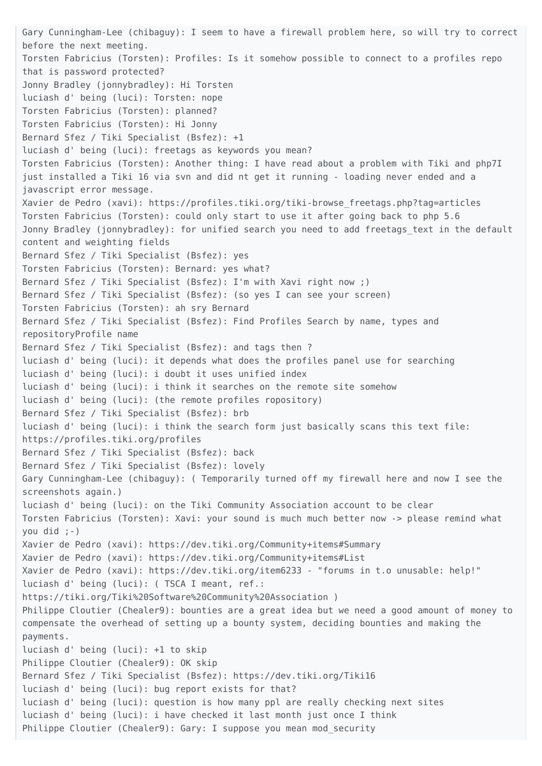Gary Cunningham-Lee (chibaguy): I seem to have a firewall problem here, so will try to correct before the next meeting. Torsten Fabricius (Torsten): Profiles: Is it somehow possible to connect to a profiles repo that is password protected? Jonny Bradley (jonnybradley): Hi Torsten luciash d' being (luci): Torsten: nope Torsten Fabricius (Torsten): planned? Torsten Fabricius (Torsten): Hi Jonny Bernard Sfez / Tiki Specialist (Bsfez): +1 luciash d' being (luci): freetags as keywords you mean? Torsten Fabricius (Torsten): Another thing: I have read about a problem with Tiki and php7I just installed a Tiki 16 via svn and did nt get it running - loading never ended and a javascript error message. Xavier de Pedro (xavi): https://profiles.tiki.org/tiki-browse\_freetags.php?tag=articles Torsten Fabricius (Torsten): could only start to use it after going back to php 5.6 Jonny Bradley (jonnybradley): for unified search you need to add freetags text in the default content and weighting fields Bernard Sfez / Tiki Specialist (Bsfez): yes Torsten Fabricius (Torsten): Bernard: yes what? Bernard Sfez / Tiki Specialist (Bsfez): I'm with Xavi right now ;) Bernard Sfez / Tiki Specialist (Bsfez): (so yes I can see your screen) Torsten Fabricius (Torsten): ah sry Bernard Bernard Sfez / Tiki Specialist (Bsfez): Find Profiles Search by name, types and repositoryProfile name Bernard Sfez / Tiki Specialist (Bsfez): and tags then ? luciash d' being (luci): it depends what does the profiles panel use for searching luciash d' being (luci): i doubt it uses unified index luciash d' being (luci): i think it searches on the remote site somehow luciash d' being (luci): (the remote profiles ropository) Bernard Sfez / Tiki Specialist (Bsfez): brb luciash d' being (luci): i think the search form just basically scans this text file: https://profiles.tiki.org/profiles Bernard Sfez / Tiki Specialist (Bsfez): back Bernard Sfez / Tiki Specialist (Bsfez): lovely Gary Cunningham-Lee (chibaguy): ( Temporarily turned off my firewall here and now I see the screenshots again.) luciash d' being (luci): on the Tiki Community Association account to be clear Torsten Fabricius (Torsten): Xavi: your sound is much much better now -> please remind what you did ;-) Xavier de Pedro (xavi): https://dev.tiki.org/Community+items#Summary Xavier de Pedro (xavi): https://dev.tiki.org/Community+items#List Xavier de Pedro (xavi): https://dev.tiki.org/item6233 - "forums in t.o unusable: help!" luciash d' being (luci): ( TSCA I meant, ref.: https://tiki.org/Tiki%20Software%20Community%20Association ) Philippe Cloutier (Chealer9): bounties are a great idea but we need a good amount of money to compensate the overhead of setting up a bounty system, deciding bounties and making the payments. luciash d' being (luci): +1 to skip Philippe Cloutier (Chealer9): OK skip Bernard Sfez / Tiki Specialist (Bsfez): https://dev.tiki.org/Tiki16 luciash d' being (luci): bug report exists for that? luciash d' being (luci): question is how many ppl are really checking next sites luciash d' being (luci): i have checked it last month just once I think Philippe Cloutier (Chealer9): Gary: I suppose you mean mod security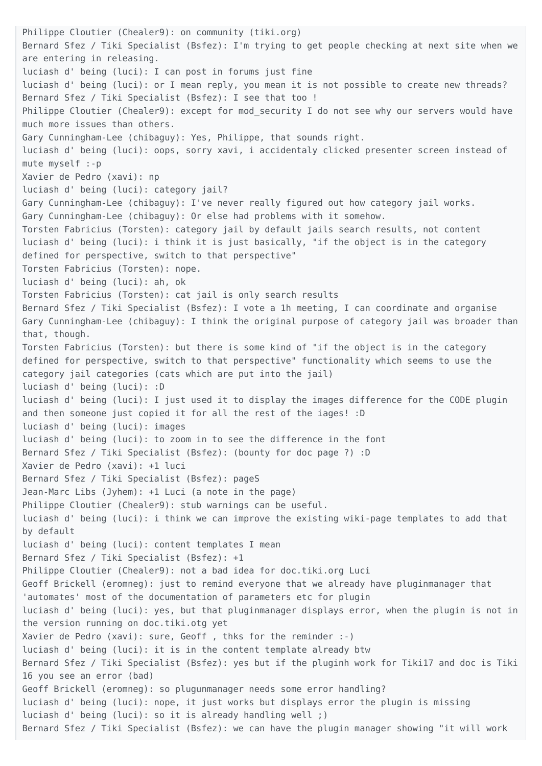Philippe Cloutier (Chealer9): on community (tiki.org) Bernard Sfez / Tiki Specialist (Bsfez): I'm trying to get people checking at next site when we are entering in releasing. luciash d' being (luci): I can post in forums just fine luciash d' being (luci): or I mean reply, you mean it is not possible to create new threads? Bernard Sfez / Tiki Specialist (Bsfez): I see that too ! Philippe Cloutier (Chealer9): except for mod security I do not see why our servers would have much more issues than others. Gary Cunningham-Lee (chibaguy): Yes, Philippe, that sounds right. luciash d' being (luci): oops, sorry xavi, i accidentaly clicked presenter screen instead of mute myself :-p Xavier de Pedro (xavi): np luciash d' being (luci): category jail? Gary Cunningham-Lee (chibaguy): I've never really figured out how category jail works. Gary Cunningham-Lee (chibaguy): Or else had problems with it somehow. Torsten Fabricius (Torsten): category jail by default jails search results, not content luciash d' being (luci): i think it is just basically, "if the object is in the category defined for perspective, switch to that perspective" Torsten Fabricius (Torsten): nope. luciash d' being (luci): ah, ok Torsten Fabricius (Torsten): cat jail is only search results Bernard Sfez / Tiki Specialist (Bsfez): I vote a 1h meeting, I can coordinate and organise Gary Cunningham-Lee (chibaguy): I think the original purpose of category jail was broader than that, though. Torsten Fabricius (Torsten): but there is some kind of "if the object is in the category defined for perspective, switch to that perspective" functionality which seems to use the category jail categories (cats which are put into the jail) luciash d' being (luci): :D luciash d' being (luci): I just used it to display the images difference for the CODE plugin and then someone just copied it for all the rest of the iages! :D luciash d' being (luci): images luciash d' being (luci): to zoom in to see the difference in the font Bernard Sfez / Tiki Specialist (Bsfez): (bounty for doc page ?) :D Xavier de Pedro (xavi): +1 luci Bernard Sfez / Tiki Specialist (Bsfez): pageS Jean-Marc Libs (Jyhem): +1 Luci (a note in the page) Philippe Cloutier (Chealer9): stub warnings can be useful. luciash d' being (luci): i think we can improve the existing wiki-page templates to add that by default luciash d' being (luci): content templates I mean Bernard Sfez / Tiki Specialist (Bsfez): +1 Philippe Cloutier (Chealer9): not a bad idea for doc.tiki.org Luci Geoff Brickell (eromneg): just to remind everyone that we already have pluginmanager that 'automates' most of the documentation of parameters etc for plugin luciash d' being (luci): yes, but that pluginmanager displays error, when the plugin is not in the version running on doc.tiki.otg yet Xavier de Pedro (xavi): sure, Geoff , thks for the reminder :-) luciash d' being (luci): it is in the content template already btw Bernard Sfez / Tiki Specialist (Bsfez): yes but if the pluginh work for Tiki17 and doc is Tiki 16 you see an error (bad) Geoff Brickell (eromneg): so plugunmanager needs some error handling? luciash d' being (luci): nope, it just works but displays error the plugin is missing luciash d' being (luci): so it is already handling well ;) Bernard Sfez / Tiki Specialist (Bsfez): we can have the plugin manager showing "it will work